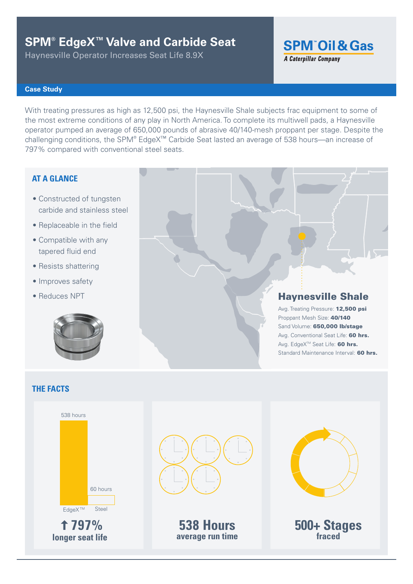# **SPM® EdgeX™ Valve and Carbide Seat**

Haynesville Operator Increases Seat Life 8.9X

**SPM<sup>"</sup>Oil & Gas** 

### **A Caterpillar Company**

### **Case Study**

With treating pressures as high as 12,500 psi, the Haynesville Shale subjects frac equipment to some of the most extreme conditions of any play in North America. To complete its multiwell pads, a Haynesville operator pumped an average of 650,000 pounds of abrasive 40/140-mesh proppant per stage. Despite the challenging conditions, the SPM® EdgeX<sup>™</sup> Carbide Seat lasted an average of 538 hours—an increase of 797% compared with conventional steel seats.

### **AT A GLANCE**

- Constructed of tungsten carbide and stainless steel
- Replaceable in the field
- Compatible with any tapered fluid end
- Resists shattering
- Improves safety
- Reduces NPT



# Haynesville Shale

Avg. Treating Pressure: 12,500 psi Proppant Mesh Size: 40/140 Sand Volume: 650,000 lb/stage Avg. Conventional Seat Life: 60 hrs. Avg. EdgeX<sup>™</sup> Seat Life: 60 hrs. Standard Maintenance Interval: 60 hrs.

### **THE FACTS**



**797%**



**538 Hours average run time longer seat life fraced**



**500+ Stages**